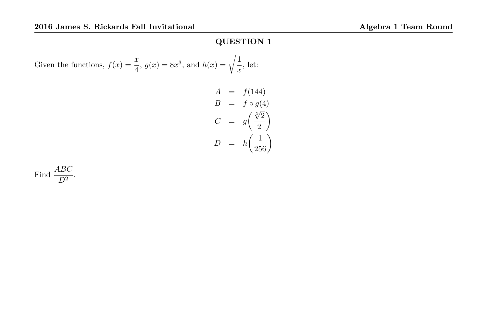Given the functions,  $f(x) = \frac{x}{4}$ ,  $g(x) = 8x^3$ , and  $h(x) = \sqrt{\frac{1}{x}}$  $\frac{1}{x}$ , let:

$$
A = f(144)
$$
  
\n
$$
B = f \circ g(4)
$$
  
\n
$$
C = g\left(\frac{\sqrt[3]{2}}{2}\right)
$$
  
\n
$$
D = h\left(\frac{1}{256}\right)
$$

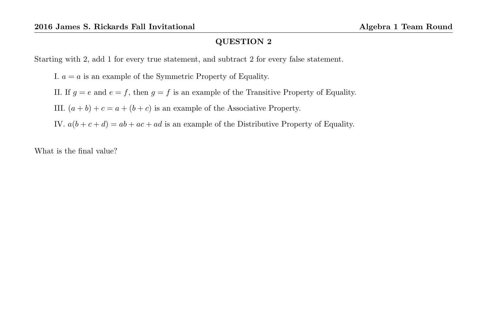Starting with 2, add 1 for every true statement, and subtract 2 for every false statement.

I.  $a = a$  is an example of the Symmetric Property of Equality.

II. If  $g = e$  and  $e = f$ , then  $g = f$  is an example of the Transitive Property of Equality.

III.  $(a + b) + c = a + (b + c)$  is an example of the Associative Property.

IV.  $a(b+c+d) = ab + ac + ad$  is an example of the Distributive Property of Equality.

What is the final value?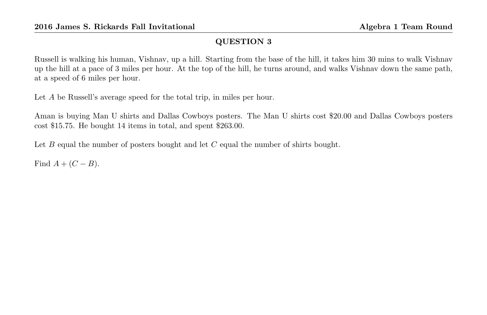Russell is walking his human, Vishnav, up a hill. Starting from the base of the hill, it takes him 30 mins to walk Vishnav up the hill at a pace of 3 miles per hour. At the top of the hill, he turns around, and walks Vishnav down the same path, at a speed of 6 miles per hour.

Let A be Russell's average speed for the total trip, in miles per hour.

Aman is buying Man U shirts and Dallas Cowboys posters. The Man U shirts cost \$20.00 and Dallas Cowboys posters cost \$15.75. He bought 14 items in total, and spent \$263.00.

Let  $B$  equal the number of posters bought and let  $C$  equal the number of shirts bought.

Find  $A + (C - B)$ .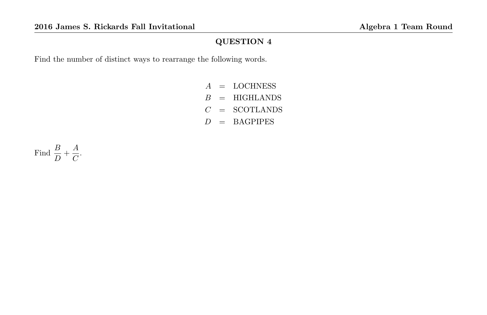Find the number of distinct ways to rearrange the following words.

 $A = LOCHNESS$  $\begin{array}{rcl} B&=&\mathrm{HIGHLANDS}\\ \end{array}$  $C =$  SCOTLANDS  $D = BAGPIPES$ 

Find  $\frac{B}{D} + \frac{A}{C}$  $\frac{1}{C}$ .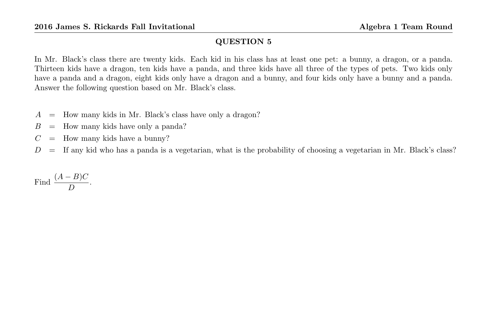In Mr. Black's class there are twenty kids. Each kid in his class has at least one pet: a bunny, a dragon, or a panda. Thirteen kids have a dragon, ten kids have a panda, and three kids have all three of the types of pets. Two kids only have a panda and a dragon, eight kids only have a dragon and a bunny, and four kids only have a bunny and a panda. Answer the following question based on Mr. Black's class.

- $A =$  How many kids in Mr. Black's class have only a dragon?
- $B =$  How many kids have only a panda?
- $C =$  How many kids have a bunny?
- $D =$  If any kid who has a panda is a vegetarian, what is the probability of choosing a vegetarian in Mr. Black's class?

Find 
$$
\frac{(A-B)C}{D}.
$$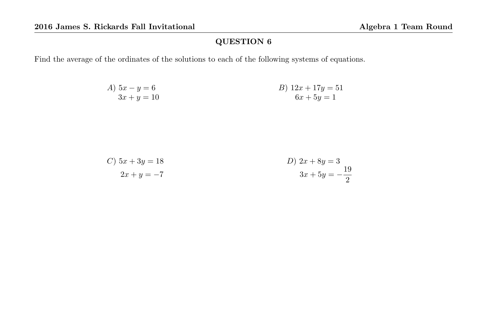Find the average of the ordinates of the solutions to each of the following systems of equations.

A) 
$$
5x - y = 6
$$
  
\n $3x + y = 10$   
\nB)  $12x + 17y = 51$   
\n $6x + 5y = 1$ 

C) 
$$
5x + 3y = 18
$$
  
2x + y = -7  
  
D)  $2x + 8y = 3$   
 $3x + 5y = -\frac{19}{2}$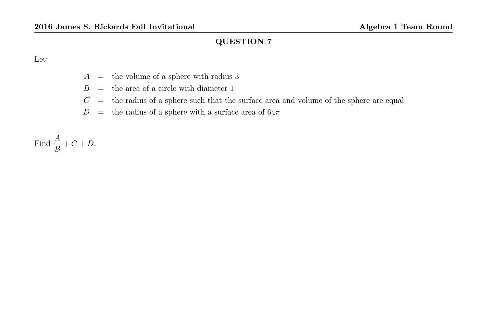Let:

- $A \quad = \quad$  the volume of a sphere with radius  $3$
- $B =$  the area of a circle with diameter 1
- $C =$  the radius of a sphere such that the surface area and volume of the sphere are equal
- $D =$  the radius of a sphere with a surface area of  $64\pi$

Find  $\frac{A}{B} + C + D$ .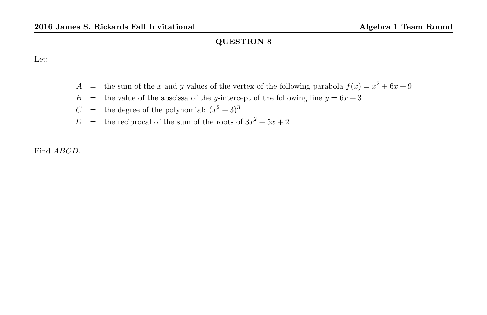Let:

- $A =$  the sum of the x and y values of the vertex of the following parabola  $f(x) = x^2 + 6x + 9$
- $B =$  the value of the abscissa of the y-intercept of the following line  $y = 6x + 3$
- $C =$  the degree of the polynomial:  $(x^2 + 3)^3$
- $D =$  the reciprocal of the sum of the roots of  $3x^2 + 5x + 2$

Find ABCD.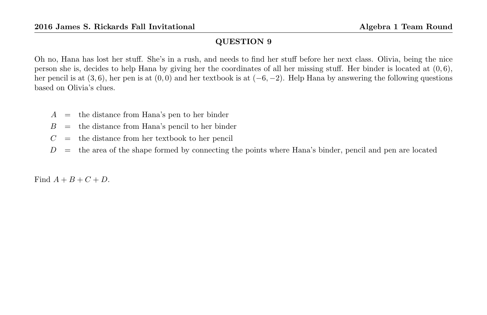Oh no, Hana has lost her stuff. She's in a rush, and needs to find her stuff before her next class. Olivia, being the nice person she is, decides to help Hana by giving her the coordinates of all her missing stuff. Her binder is located at  $(0, 6)$ , her pencil is at  $(3, 6)$ , her pen is at  $(0, 0)$  and her textbook is at  $(-6, -2)$ . Help Hana by answering the following questions based on Olivia's clues.

- $A =$  the distance from Hana's pen to her binder
- $B =$  the distance from Hana's pencil to her binder
- $C =$  the distance from her textbook to her pencil
- $D =$  the area of the shape formed by connecting the points where Hana's binder, pencil and pen are located

Find  $A + B + C + D$ .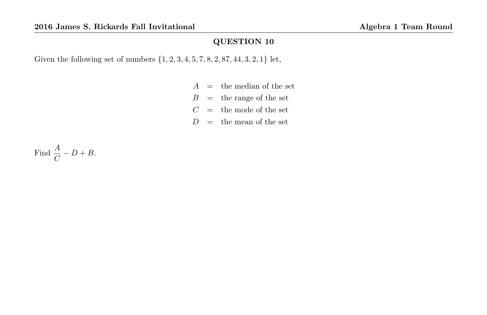Given the following set of numbers {1, 2, 3, 4, 5, 7, 8, 2, 87, 44, 3, 2, 1} let,

- $A =$  the median of the set
- $B =$  the range of the set
- $C =$  the mode of the set
- $D =$  the mean of the set

Find  $\frac{A}{C} - D + B$ .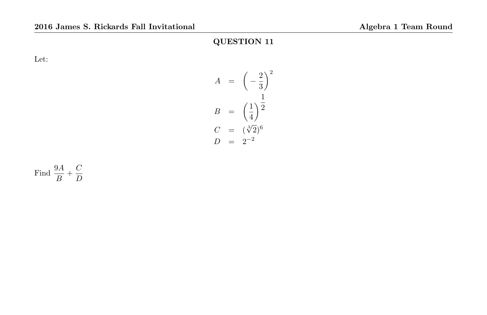Let:

$$
A = \left(-\frac{2}{3}\right)^2
$$

$$
B = \left(\frac{1}{4}\right)^{\frac{1}{2}}
$$

$$
C = \left(\sqrt[3]{2}\right)^6
$$

$$
D = 2^{-2}
$$

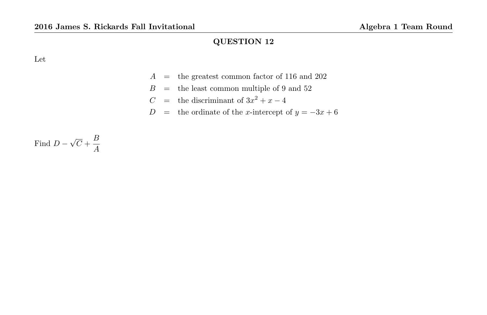Let

- $A =$  the greatest common factor of 116 and 202
- $\, B \quad = \quad$  the least common multiple of  $9$  and  $52$
- C = the discriminant of  $3x^2 + x 4$
- D = the ordinate of the x-intercept of  $y = -3x + 6$

Find  $D-$ √  $\overline{C} + \frac{B}{4}$ A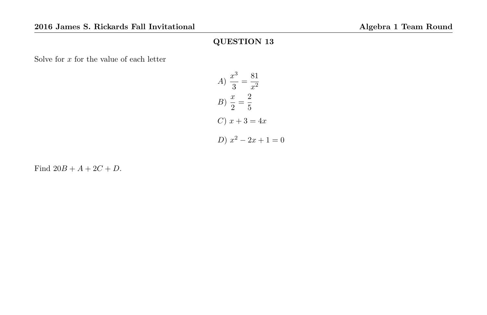Solve for  $x$  for the value of each letter

A) 
$$
\frac{x^3}{3} = \frac{81}{x^2}
$$
  
\nB) 
$$
\frac{x}{2} = \frac{2}{5}
$$
  
\nC) 
$$
x + 3 = 4x
$$
  
\nD) 
$$
x^2 - 2x + 1 = 0
$$

Find  $20B + A + 2C + D$ .